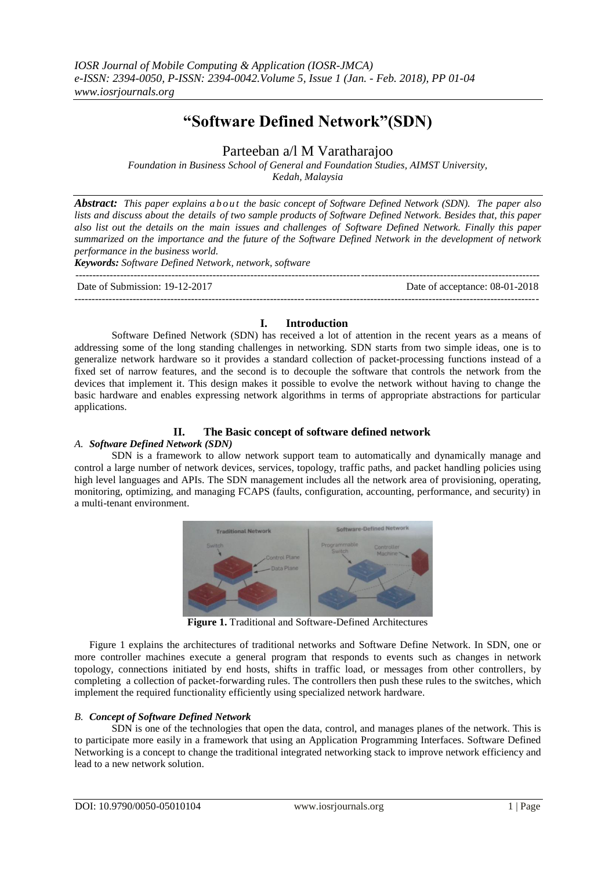# **"Software Defined Network"(SDN)**

## Parteeban a/l M Varatharajoo

*Foundation in Business School of General and Foundation Studies, AIMST University, Kedah, Malaysia*

*Abstract: This paper explains a b out the basic concept of Software Defined Network (SDN). The paper also lists and discuss about the details of two sample products of Software Defined Network. Besides that, this paper also list out the details on the main issues and challenges of Software Defined Network. Finally this paper summarized on the importance and the future of the Software Defined Network in the development of network performance in the business world.*

*Keywords: Software Defined Network, network, software*

--------------------------------------------------------------------------------------------------------------------------------------- Date of Submission: 19-12-2017 Date of acceptance: 08-01-2018 --------------------------------------------------------------------------------------------------------------------------------------*-*

### **I. Introduction**

Software Defined Network (SDN) has received a lot of attention in the recent years as a means of addressing some of the long standing challenges in networking. SDN starts from two simple ideas, one is to generalize network hardware so it provides a standard collection of packet-processing functions instead of a fixed set of narrow features, and the second is to decouple the software that controls the network from the devices that implement it. This design makes it possible to evolve the network without having to change the basic hardware and enables expressing network algorithms in terms of appropriate abstractions for particular applications.

### **II. The Basic concept of software defined network**

#### *A. Software Defined Network (SDN)*

SDN is a framework to allow network support team to automatically and dynamically manage and control a large number of network devices, services, topology, traffic paths, and packet handling policies using high level languages and APIs. The SDN management includes all the network area of provisioning, operating, monitoring, optimizing, and managing FCAPS (faults, configuration, accounting, performance, and security) in a multi-tenant environment.



**Figure 1.** Traditional and Software-Defined Architectures

Figure 1 explains the architectures of traditional networks and Software Define Network. In SDN, one or more controller machines execute a general program that responds to events such as changes in network topology, connections initiated by end hosts, shifts in traffic load, or messages from other controllers, by completing a collection of packet-forwarding rules. The controllers then push these rules to the switches, which implement the required functionality efficiently using specialized network hardware.

#### *B. Concept of Software Defined Network*

SDN is one of the technologies that open the data, control, and manages planes of the network. This is to participate more easily in a framework that using an Application Programming Interfaces. Software Defined Networking is a concept to change the traditional integrated networking stack to improve network efficiency and lead to a new network solution.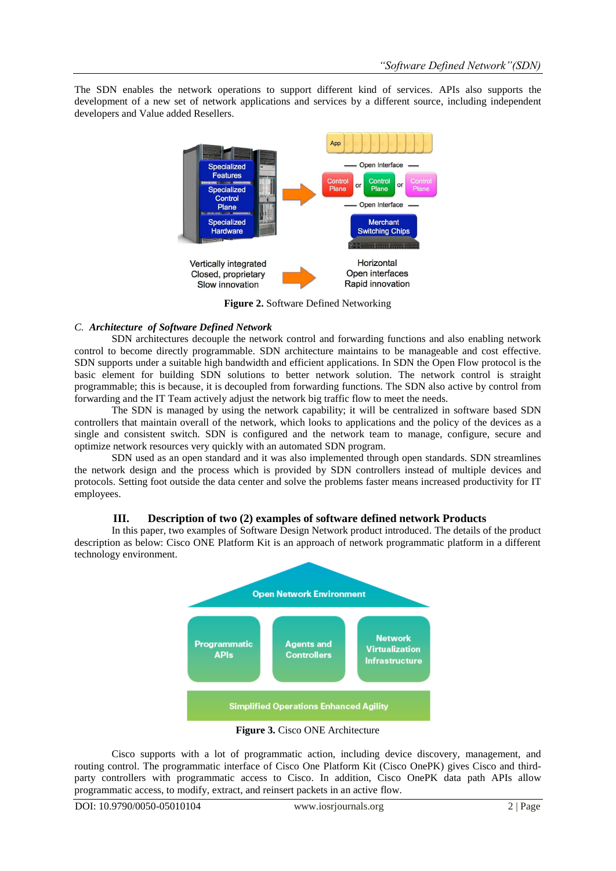The SDN enables the network operations to support different kind of services. APIs also supports the development of a new set of network applications and services by a different source, including independent developers and Value added Resellers.



**Figure 2.** Software Defined Networking

#### *C. Architecture of Software Defined Network*

SDN architectures decouple the network control and forwarding functions and also enabling network control to become directly programmable. SDN architecture maintains to be manageable and cost effective. SDN supports under a suitable high bandwidth and efficient applications. In SDN the Open Flow protocol is the basic element for building SDN solutions to better network solution. The network control is straight programmable; this is because, it is decoupled from forwarding functions. The SDN also active by control from forwarding and the IT Team actively adjust the network big traffic flow to meet the needs.

The SDN is managed by using the network capability; it will be centralized in software based SDN controllers that maintain overall of the network, which looks to applications and the policy of the devices as a single and consistent switch. SDN is configured and the network team to manage, configure, secure and optimize network resources very quickly with an automated SDN program.

SDN used as an open standard and it was also implemented through open standards. SDN streamlines the network design and the process which is provided by SDN controllers instead of multiple devices and protocols. Setting foot outside the data center and solve the problems faster means increased productivity for IT employees.

#### **III. Description of two (2) examples of software defined network Products**

In this paper, two examples of Software Design Network product introduced. The details of the product description as below: Cisco ONE Platform Kit is an approach of network programmatic platform in a different technology environment.



**Figure 3.** Cisco ONE Architecture

Cisco supports with a lot of programmatic action, including device discovery, management, and routing control. The programmatic interface of Cisco One Platform Kit (Cisco OnePK) gives Cisco and thirdparty controllers with programmatic access to Cisco. In addition, Cisco OnePK data path APIs allow programmatic access, to modify, extract, and reinsert packets in an active flow.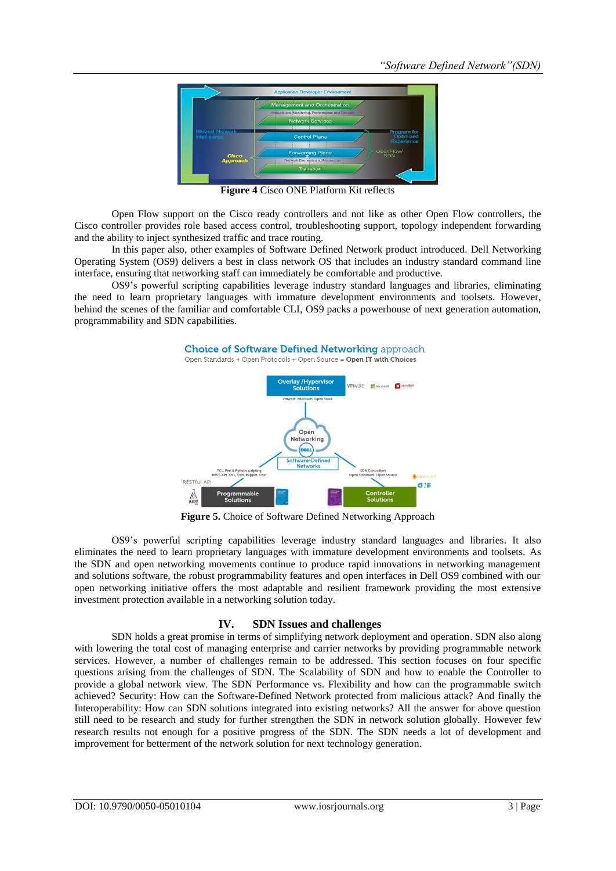

**Figure 4** Cisco ONE Platform Kit reflects

Open Flow support on the Cisco ready controllers and not like as other Open Flow controllers, the Cisco controller provides role based access control, troubleshooting support, topology independent forwarding and the ability to inject synthesized traffic and trace routing.

In this paper also, other examples of Software Defined Network product introduced. Dell Networking Operating System (OS9) delivers a best in class network OS that includes an industry standard command line interface, ensuring that networking staff can immediately be comfortable and productive.

OS9's powerful scripting capabilities leverage industry standard languages and libraries, eliminating the need to learn proprietary languages with immature development environments and toolsets. However, behind the scenes of the familiar and comfortable CLI, OS9 packs a powerhouse of next generation automation, programmability and SDN capabilities.



**Figure 5.** Choice of Software Defined Networking Approach

OS9's powerful scripting capabilities leverage industry standard languages and libraries. It also eliminates the need to learn proprietary languages with immature development environments and toolsets. As the SDN and open networking movements continue to produce rapid innovations in networking management and solutions software, the robust programmability features and open interfaces in Dell OS9 combined with our open networking initiative offers the most adaptable and resilient framework providing the most extensive investment protection available in a networking solution today.

#### **IV. SDN Issues and challenges**

SDN holds a great promise in terms of simplifying network deployment and operation. SDN also along with lowering the total cost of managing enterprise and carrier networks by providing programmable network services. However, a number of challenges remain to be addressed. This section focuses on four specific questions arising from the challenges of SDN. The Scalability of SDN and how to enable the Controller to provide a global network view. The SDN Performance vs. Flexibility and how can the programmable switch achieved? Security: How can the Software-Defined Network protected from malicious attack? And finally the Interoperability: How can SDN solutions integrated into existing networks? All the answer for above question still need to be research and study for further strengthen the SDN in network solution globally. However few research results not enough for a positive progress of the SDN. The SDN needs a lot of development and improvement for betterment of the network solution for next technology generation.